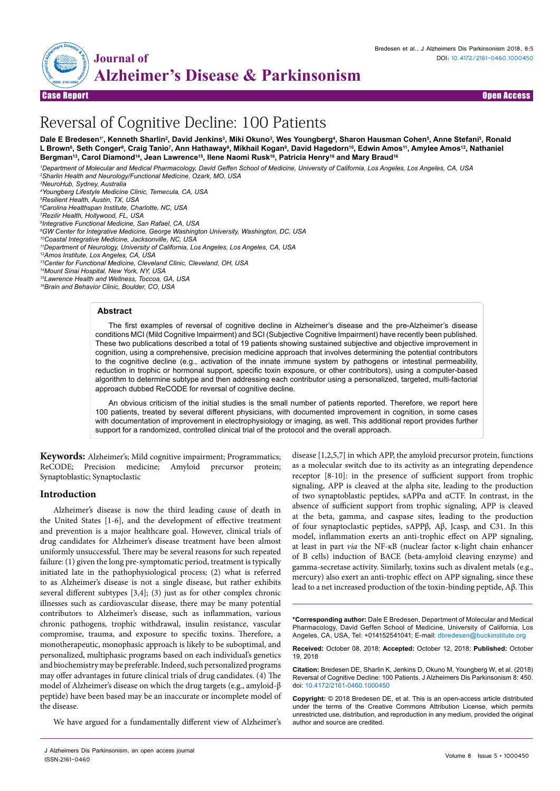

Case Report Open Access

# Reversal of Cognitive Decline: 100 Patients

Dale E Bredesen'', Kenneth Sharlin<sup>2</sup>, David Jenkins<sup>3</sup>, Miki Okuno<sup>3</sup>, Wes Youngberg<sup>4</sup>, Sharon Hausman Cohen<sup>s</sup>, Anne Stefani<sup>s</sup>, Ronald L Brown<sup>s</sup>, Seth Conger<sup>s</sup>, Craig Tanio<sup>7</sup>, Ann Hathaway<sup>s</sup>, Mikhail Kogan<sup>s</sup>, David Hagedorn<sup>10</sup>, Edwin Amos<sup>11</sup>, Amylee Amos<sup>12</sup>, Nathaniel Bergman<sup>13</sup>, Carol Diamond<sup>14</sup>, Jean Lawrence<sup>15</sup>, Ilene Naomi Rusk<sup>16</sup>, Patricia Henry<sup>16</sup> and Mary Braud<sup>16</sup>

*1 Department of Molecular and Medical Pharmacology, David Geffen School of Medicine, University of California, Los Angeles, Los Angeles, CA, USA 2 Sharlin Health and Neurology/Functional Medicine, Ozark, MO, USA*

*4 Youngberg Lifestyle Medicine Clinic, Temecula, CA, USA*

*5 Resilient Health, Austin, TX, USA*

*6 Carolina Healthspan Institute, Charlotte, NC, USA 7 Rezilir Health, Hollywood, FL, USA*

*8 Integrative Functional Medicine, San Rafael, CA, USA*

*9 GW Center for Integrative Medicine, George Washington University, Washington, DC, USA*

*10Coastal Integrative Medicine, Jacksonville, NC, USA*

*11Department of Neurology, University of California, Los Angeles, Los Angeles, CA, USA*

*12Amos Institute, Los Angeles, CA, USA*

*13Center for Functional Medicine, Cleveland Clinic, Cleveland, OH, USA* 

*14Mount Sinai Hospital, New York, NY, USA*

*15Lawrence Health and Wellness, Toccoa, GA, USA*

*16Brain and Behavior Clinic, Boulder, CO, USA*

#### **Abstract**

The first examples of reversal of cognitive decline in Alzheimer's disease and the pre-Alzheimer's disease conditions MCI (Mild Cognitive Impairment) and SCI (Subjective Cognitive Impairment) have recently been published. These two publications described a total of 19 patients showing sustained subjective and objective improvement in cognition, using a comprehensive, precision medicine approach that involves determining the potential contributors to the cognitive decline (e.g., activation of the innate immune system by pathogens or intestinal permeability, reduction in trophic or hormonal support, specific toxin exposure, or other contributors), using a computer-based algorithm to determine subtype and then addressing each contributor using a personalized, targeted, multi-factorial approach dubbed ReCODE for reversal of cognitive decline.

An obvious criticism of the initial studies is the small number of patients reported. Therefore, we report here 100 patients, treated by several different physicians, with documented improvement in cognition, in some cases with documentation of improvement in electrophysiology or imaging, as well. This additional report provides further support for a randomized, controlled clinical trial of the protocol and the overall approach.

**Keywords:** Alzheimer's; Mild cognitive impairment; Programmatics; ReCODE; Precision medicine; Amyloid precursor protein; Synaptoblastic; Synaptoclastic

## **Introduction**

Alzheimer's disease is now the third leading cause of death in the United States [1-6], and the development of effective treatment and prevention is a major healthcare goal. However, clinical trials of drug candidates for Alzheimer's disease treatment have been almost uniformly unsuccessful. There may be several reasons for such repeated failure: (1) given the long pre-symptomatic period, treatment is typically initiated late in the pathophysiological process; (2) what is referred to as Alzheimer's disease is not a single disease, but rather exhibits several different subtypes [3,4]; (3) just as for other complex chronic illnesses such as cardiovascular disease, there may be many potential contributors to Alzheimer's disease, such as inflammation, various chronic pathogens, trophic withdrawal, insulin resistance, vascular compromise, trauma, and exposure to specific toxins. Therefore, a monotherapeutic, monophasic approach is likely to be suboptimal, and personalized, multiphasic programs based on each individual's genetics and biochemistry may be preferable. Indeed, such personalized programs may offer advantages in future clinical trials of drug candidates. (4) The model of Alzheimer's disease on which the drug targets (e.g., amyloid-β peptide) have been based may be an inaccurate or incomplete model of the disease.

We have argued for a fundamentally different view of Alzheimer's

J Alzheimers Dis Parkinsonism, an open access journal ISSN:2161-0460

disease [1,2,5,7] in which APP, the amyloid precursor protein, functions as a molecular switch due to its activity as an integrating dependence receptor [8-10]: in the presence of sufficient support from trophic signaling, APP is cleaved at the alpha site, leading to the production of two synaptoblastic peptides, sAPPα and αCTF. In contrast, in the absence of sufficient support from trophic signaling, APP is cleaved at the beta, gamma, and caspase sites, leading to the production of four synaptoclastic peptides, sAPPβ, Aβ, Jcasp, and C31. In this model, inflammation exerts an anti-trophic effect on APP signaling, at least in part *via* the NF-κB (nuclear factor κ-light chain enhancer of B cells) induction of BACE (beta-amyloid cleaving enzyme) and gamma-secretase activity. Similarly, toxins such as divalent metals (e.g., mercury) also exert an anti-trophic effect on APP signaling, since these lead to a net increased production of the toxin-binding peptide, Aβ. This

**\*Corresponding author:** Dale E Bredesen, Department of Molecular and Medical Pharmacology, David Geffen School of Medicine, University of California, Los Angeles, CA, USA, Tel: +014152541041; E-mail: dbredesen@buckinstitute.org

**Received:** October 08, 2018; **Accepted:** October 12, 2018; **Published:** October 19, 2018

**Citation:** Bredesen DE, Sharlin K, Jenkins D, Okuno M, Youngberg W, et al. (2018) Reversal of Cognitive Decline: 100 Patients. J Alzheimers Dis Parkinsonism 8: 450. doi: 10.4172/2161-0460.1000450

**Copyright:** © 2018 Bredesen DE, et al. This is an open-access article distributed under the terms of the Creative Commons Attribution License, which permits unrestricted use, distribution, and reproduction in any medium, provided the original author and source are credited.

*<sup>3</sup> NeuroHub, Sydney, Australia*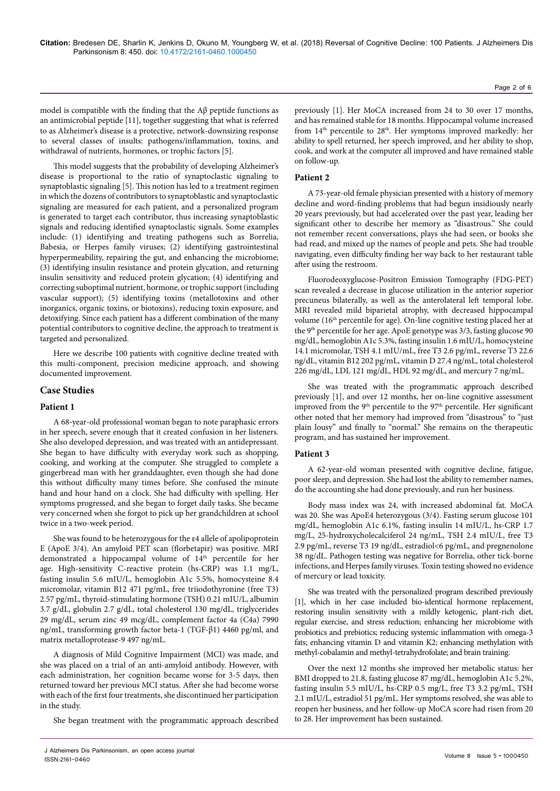model is compatible with the finding that the  $A\beta$  peptide functions as an antimicrobial peptide [11], together suggesting that what is referred to as Alzheimer's disease is a protective, network-downsizing response to several classes of insults: pathogens/inflammation, toxins, and withdrawal of nutrients, hormones, or trophic factors [5].

This model suggests that the probability of developing Alzheimer's disease is proportional to the ratio of synaptoclastic signaling to synaptoblastic signaling [5]. This notion has led to a treatment regimen in which the dozens of contributors to synaptoblastic and synaptoclastic signaling are measured for each patient, and a personalized program is generated to target each contributor, thus increasing synaptoblastic signals and reducing identified synaptoclastic signals. Some examples include: (1) identifying and treating pathogens such as Borrelia, Babesia, or Herpes family viruses; (2) identifying gastrointestinal hyperpermeability, repairing the gut, and enhancing the microbiome; (3) identifying insulin resistance and protein glycation, and returning insulin sensitivity and reduced protein glycation; (4) identifying and correcting suboptimal nutrient, hormone, or trophic support (including vascular support); (5) identifying toxins (metallotoxins and other inorganics, organic toxins, or biotoxins), reducing toxin exposure, and detoxifying. Since each patient has a different combination of the many potential contributors to cognitive decline, the approach to treatment is targeted and personalized.

Here we describe 100 patients with cognitive decline treated with this multi-component, precision medicine approach, and showing documented improvement.

## **Case Studies**

# **Patient 1**

A 68-year-old professional woman began to note paraphasic errors in her speech, severe enough that it created confusion in her listeners. She also developed depression, and was treated with an antidepressant. She began to have difficulty with everyday work such as shopping, cooking, and working at the computer. She struggled to complete a gingerbread man with her granddaughter, even though she had done this without difficulty many times before. She confused the minute hand and hour hand on a clock. She had difficulty with spelling. Her symptoms progressed, and she began to forget daily tasks. She became very concerned when she forgot to pick up her grandchildren at school twice in a two-week period.

She was found to be heterozygous for the ε4 allele of apolipoprotein E (ApoE 3/4). An amyloid PET scan (florbetapir) was positive. MRI demonstrated a hippocampal volume of 14<sup>th</sup> percentile for her age. High-sensitivity C-reactive protein (hs-CRP) was 1.1 mg/L, fasting insulin 5.6 mIU/L, hemoglobin A1c 5.5%, homocysteine 8.4 micromolar, vitamin B12 471 pg/mL, free triiodothyronine (free T3) 2.57 pg/mL, thyroid-stimulating hormone (TSH) 0.21 mIU/L, albumin 3.7 g/dL, globulin 2.7 g/dL, total cholesterol 130 mg/dL, triglycerides 29 mg/dL, serum zinc 49 mcg/dL, complement factor 4a (C4a) 7990 ng/mL, transforming growth factor beta-1 (TGF-β1) 4460 pg/ml, and matrix metalloprotease-9 497 ng/mL.

A diagnosis of Mild Cognitive Impairment (MCI) was made, and she was placed on a trial of an anti-amyloid antibody. However, with each administration, her cognition became worse for 3-5 days, then returned toward her previous MCI status. After she had become worse with each of the first four treatments, she discontinued her participation in the study.

She began treatment with the programmatic approach described

previously [1]. Her MoCA increased from 24 to 30 over 17 months, and has remained stable for 18 months. Hippocampal volume increased from 14<sup>th</sup> percentile to 28<sup>th</sup>. Her symptoms improved markedly: her ability to spell returned, her speech improved, and her ability to shop, cook, and work at the computer all improved and have remained stable on follow-up.

#### **Patient 2**

A 73-year-old female physician presented with a history of memory decline and word-finding problems that had begun insidiously nearly 20 years previously, but had accelerated over the past year, leading her significant other to describe her memory as "disastrous." She could not remember recent conversations, plays she had seen, or books she had read, and mixed up the names of people and pets. She had trouble navigating, even difficulty finding her way back to her restaurant table after using the restroom.

Fluorodeoxyglucose-Positron Emission Tomography (FDG-PET) scan revealed a decrease in glucose utilization in the anterior superior precuneus bilaterally, as well as the anterolateral left temporal lobe. MRI revealed mild biparietal atrophy, with decreased hippocampal volume (16<sup>th</sup> percentile for age). On-line cognitive testing placed her at the 9<sup>th</sup> percentile for her age. ApoE genotype was 3/3, fasting glucose 90 mg/dL, hemoglobin A1c 5.3%, fasting insulin 1.6 mIU/L, homocysteine 14.1 micromolar, TSH 4.1 mIU/mL, free T3 2.6 pg/mL, reverse T3 22.6 ng/dL, vitamin B12 202 pg/mL, vitamin D 27.4 ng/mL, total cholesterol 226 mg/dL, LDL 121 mg/dL, HDL 92 mg/dL, and mercury 7 ng/mL.

She was treated with the programmatic approach described previously [1], and over 12 months, her on-line cognitive assessment improved from the 9<sup>th</sup> percentile to the 97<sup>th</sup> percentile. Her significant other noted that her memory had improved from "disastrous" to "just plain lousy" and finally to "normal." She remains on the therapeutic program, and has sustained her improvement.

## **Patient 3**

A 62-year-old woman presented with cognitive decline, fatigue, poor sleep, and depression. She had lost the ability to remember names, do the accounting she had done previously, and run her business.

Body mass index was 24, with increased abdominal fat. MoCA was 20. She was ApoE4 heterozygous (3/4). Fasting serum glucose 101 mg/dL, hemoglobin A1c 6.1%, fasting insulin 14 mIU/L, hs-CRP 1.7 mg/L, 25-hydroxycholecalciferol 24 ng/mL, TSH 2.4 mIU/L, free T3 2.9 pg/mL, reverse T3 19 ng/dL, estradiol<6 pg/mL, and pregnenolone 38 ng/dL. Pathogen testing was negative for Borrelia, other tick-borne infections, and Herpes family viruses. Toxin testing showed no evidence of mercury or lead toxicity.

She was treated with the personalized program described previously [1], which in her case included bio-identical hormone replacement, restoring insulin sensitivity with a mildly ketogenic, plant-rich diet, regular exercise, and stress reduction; enhancing her microbiome with probiotics and prebiotics; reducing systemic inflammation with omega-3 fats; enhancing vitamin D and vitamin K2; enhancing methylation with methyl-cobalamin and methyl-tetrahydrofolate; and brain training.

Over the next 12 months she improved her metabolic status: her BMI dropped to 21.8, fasting glucose 87 mg/dL, hemoglobin A1c 5.2%, fasting insulin 5.5 mIU/L, hs-CRP 0.5 mg/L, free T3 3.2 pg/mL, TSH 2.1 mIU/L, estradiol 51 pg/mL. Her symptoms resolved, she was able to reopen her business, and her follow-up MoCA score had risen from 20 to 28. Her improvement has been sustained.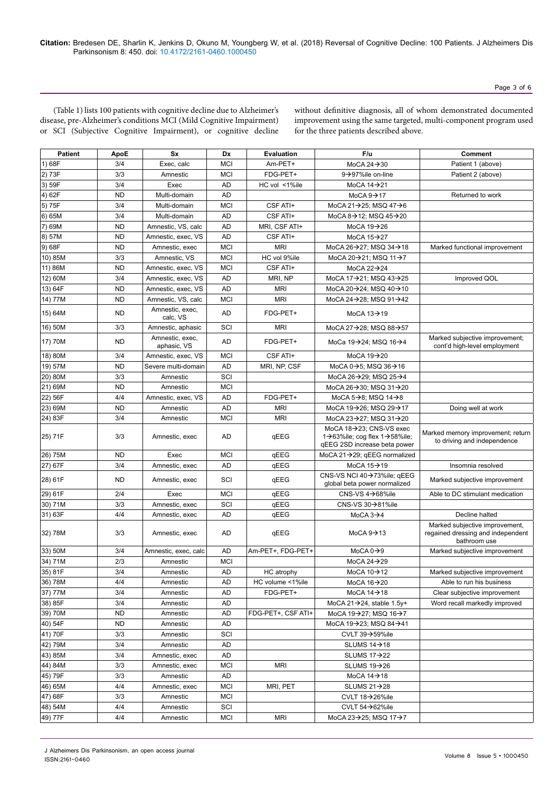(Table 1) lists 100 patients with cognitive decline due to Alzheimer's disease, pre-Alzheimer's conditions MCI (Mild Cognitive Impairment) or SCI (Subjective Cognitive Impairment), or cognitive decline

without definitive diagnosis, all of whom demonstrated documented improvement using the same targeted, multi-component program used for the three patients described above.

| <b>Patient</b> | ApoE      | Sx                             | Dx         | <b>Evaluation</b>  | F/u                                                                                                                   | Comment                                                                             |
|----------------|-----------|--------------------------------|------------|--------------------|-----------------------------------------------------------------------------------------------------------------------|-------------------------------------------------------------------------------------|
| 1) 68F         | 3/4       | Exec, calc                     | <b>MCI</b> | Am-PET+            | MoCA 24 $\rightarrow$ 30                                                                                              | Patient 1 (above)                                                                   |
| 2) 73F         | 3/3       | Amnestic                       | <b>MCI</b> | FDG-PET+           | 9→97%ile on-line                                                                                                      | Patient 2 (above)                                                                   |
| 3) 59F         | 3/4       | Exec                           | AD         | HC vol <1%ile      | MoCA $14 \rightarrow 21$                                                                                              |                                                                                     |
| 4) 62F         | <b>ND</b> | Multi-domain                   | AD         |                    | MoCA $9 \rightarrow 17$                                                                                               | Returned to work                                                                    |
| 5) 75F         | 3/4       | Multi-domain                   | <b>MCI</b> | CSF ATI+           | MoCA 21→25: MSQ 47→6                                                                                                  |                                                                                     |
| 6) 65M         | 3/4       | Multi-domain                   | AD         | CSF ATI+           | MoCA $8 \rightarrow 12$ ; MSQ $45 \rightarrow 20$                                                                     |                                                                                     |
| 7) 69M         | <b>ND</b> | Amnestic, VS, calc             | AD         | MRI, CSF ATI+      | MoCA $19\rightarrow 26$                                                                                               |                                                                                     |
| 8) 57M         | <b>ND</b> | Amnestic, exec, VS             | AD         | CSF ATI+           | MoCA $15 \rightarrow 27$                                                                                              |                                                                                     |
| 9) 68F         | <b>ND</b> | Amnestic, exec                 | <b>MCI</b> | <b>MRI</b>         | MoCA 26 $\rightarrow$ 27; MSQ 34 $\rightarrow$ 18                                                                     | Marked functional improvement                                                       |
| 10) 85M        | 3/3       | Amnestic, VS                   | <b>MCI</b> | HC vol 9%ile       | MoCA 20 $\rightarrow$ 21; MSQ 11 $\rightarrow$ 7                                                                      |                                                                                     |
| 11) 86M        | <b>ND</b> | Amnestic, exec, VS             | MCI        | CSF ATI+           | MoCA 22 $\rightarrow$ 24                                                                                              |                                                                                     |
| 12) 60M        | 3/4       | Amnestic, exec, VS             | AD         | MRI, NP            | MoCA 17→21; MSQ 43→25                                                                                                 | Improved QOL                                                                        |
| 13) 64F        | <b>ND</b> | Amnestic, exec, VS             | AD         | <b>MRI</b>         | MoCA 20 $\rightarrow$ 24; MSQ 40 $\rightarrow$ 10                                                                     |                                                                                     |
| 14) 77M        | <b>ND</b> | Amnestic, VS, calc             | <b>MCI</b> | <b>MRI</b>         | MoCA 24 $\rightarrow$ 28; MSQ 91 $\rightarrow$ 42                                                                     |                                                                                     |
| 15) 64M        | <b>ND</b> | Amnestic, exec,<br>calc, VS    | AD         | FDG-PET+           | MoCA $13 \rightarrow 19$                                                                                              |                                                                                     |
| 16) 50M        | 3/3       | Amnestic, aphasic              | SCI        | <b>MRI</b>         | MoCA 27→28; MSQ 88→57                                                                                                 |                                                                                     |
| 17) 70M        | <b>ND</b> | Amnestic, exec,<br>aphasic, VS | AD         | FDG-PET+           | MoCa 19 $\rightarrow$ 24; MSQ 16 $\rightarrow$ 4                                                                      | Marked subjective improvement;<br>cont'd high-level employment                      |
| 18) 80M        | 3/4       | Amnestic, exec, VS             | <b>MCI</b> | CSF ATI+           | MoCA 19->20                                                                                                           |                                                                                     |
| 19) 57M        | <b>ND</b> | Severe multi-domain            | AD         | MRI, NP, CSF       | MoCA $0 \rightarrow 5$ ; MSQ $36 \rightarrow 16$                                                                      |                                                                                     |
| 20) 80M        | 3/3       | Amnestic                       | SCI        |                    | MoCA 26 $\rightarrow$ 29; MSQ 25 $\rightarrow$ 4                                                                      |                                                                                     |
| 21) 69M        | <b>ND</b> | Amnestic                       | <b>MCI</b> |                    | MoCA 26→30; MSQ 31→20                                                                                                 |                                                                                     |
| 22) 56F        | 4/4       | Amnestic, exec, VS             | AD         | FDG-PET+           | MoCA 5 $\rightarrow$ 8; MSQ 14 $\rightarrow$ 8                                                                        |                                                                                     |
| 23) 69M        | <b>ND</b> | Amnestic                       | AD         | <b>MRI</b>         | MoCA 19→26: MSQ 29→17                                                                                                 | Doing well at work                                                                  |
| 24) 83F        | 3/4       | Amnestic                       | <b>MCI</b> | <b>MRI</b>         | MoCA 23 $\rightarrow$ 27; MSQ 31 $\rightarrow$ 20                                                                     |                                                                                     |
| 25) 71F        | 3/3       | Amnestic, exec                 | AD         | qEEG               | MoCA 18→23; CNS-VS exec<br>1 $\rightarrow$ 63% ile; cog flex 1 $\rightarrow$ 58% ile;<br>qEEG 2SD increase beta power | Marked memory improvement; return<br>to driving and independence                    |
| 26) 75M        | <b>ND</b> | Exec                           | <b>MCI</b> | qEEG               | MoCA 21 $\rightarrow$ 29; qEEG normalized                                                                             |                                                                                     |
| 27) 67F        | 3/4       | Amnestic, exec                 | AD         | qEEG               | MoCA $15 \rightarrow 19$                                                                                              | Insomnia resolved                                                                   |
| 28) 61F        | <b>ND</b> | Amnestic, exec                 | SCI        | qEEG               | CNS-VS NCI 40→73%ile; gEEG<br>global beta power normalized                                                            | Marked subjective improvement                                                       |
| 29) 61F        | 2/4       | Exec                           | MCI        | qEEG               | CNS-VS $4\rightarrow 68\%$ ile                                                                                        | Able to DC stimulant medication                                                     |
| 30) 71M        | 3/3       | Amnestic, exec                 | SCI        | qEEG               | CNS-VS 30→81%ile                                                                                                      |                                                                                     |
| 31) 63F        | 4/4       | Amnestic, exec                 | AD         | qEEG               | MoCA $3\rightarrow 4$                                                                                                 | Decline halted                                                                      |
| 32) 78M        | 3/3       | Amnestic, exec                 | AD         | qEEG               | MoCA $9 \rightarrow 13$                                                                                               | Marked subjective improvement,<br>regained dressing and independent<br>bathroom use |
| 33) 50M        | 3/4       | Amnestic, exec, calc           | AD         | Am-PET+, FDG-PET+  | MoCA $0 \rightarrow 9$                                                                                                | Marked subjective improvement                                                       |
| 34) 71M        | 2/3       | Amnestic                       | <b>MCI</b> |                    | MoCA 24 $\rightarrow$ 29                                                                                              |                                                                                     |
| 35) 81F        | 3/4       | Amnestic                       | AD         | HC atrophy         | MoCA $10 \rightarrow 12$                                                                                              | Marked subjective improvement                                                       |
| 36) 78M        | 4/4       | Amnestic                       | AD         | HC volume <1%ile   | MoCA $16 \rightarrow 20$                                                                                              | Able to run his business                                                            |
| 37) 77M        | 3/4       | Amnestic                       | AD         | FDG-PET+           | MoCA $14 \rightarrow 18$                                                                                              | Clear subjective improvement                                                        |
| 38) 85F        | 3/4       | Amnestic                       | AD         |                    | MoCA 21 $\rightarrow$ 24, stable 1.5y+                                                                                | Word recall markedly improved                                                       |
| 39) 70M        | <b>ND</b> | Amnestic                       | AD         | FDG-PET+. CSF ATI+ | MoCA 19 $\rightarrow$ 27; MSQ 16 $\rightarrow$ 7                                                                      |                                                                                     |
| 40) 54F        | <b>ND</b> | Amnestic                       | AD         |                    | MoCA 19 $\rightarrow$ 23; MSQ 84 $\rightarrow$ 41                                                                     |                                                                                     |
| 41) 70F        | 3/3       | Amnestic                       | SCI        |                    | CVLT 39→59%ile                                                                                                        |                                                                                     |
| 42) 79M        | 3/4       | Amnestic                       | AD         |                    | SLUMS $14 \rightarrow 18$                                                                                             |                                                                                     |
| 43) 85M        | 3/4       | Amnestic, exec                 | AD         |                    | SLUMS $17 \rightarrow 22$                                                                                             |                                                                                     |
| 44) 84M        | 3/3       | Amnestic, exec                 | <b>MCI</b> | <b>MRI</b>         | SLUMS $19\rightarrow 26$                                                                                              |                                                                                     |
| 45) 79F        | 3/3       | Amnestic                       | AD         |                    | MoCA $14 \rightarrow 18$                                                                                              |                                                                                     |
| 46) 65M        | 4/4       | Amnestic, exec                 | <b>MCI</b> | MRI, PET           | SLUMS $21 \rightarrow 28$                                                                                             |                                                                                     |
| 47) 68F        | 3/3       | Amnestic                       | <b>MCI</b> |                    | CVLT 18→26%ile                                                                                                        |                                                                                     |
| 48) 54M        | 4/4       | Amnestic                       | SCI        |                    | CVLT 54→62%ile                                                                                                        |                                                                                     |
| 49) 77F        | 4/4       | Amnestic                       | <b>MCI</b> | <b>MRI</b>         | MoCA 23 $\rightarrow$ 25; MSQ 17 $\rightarrow$ 7                                                                      |                                                                                     |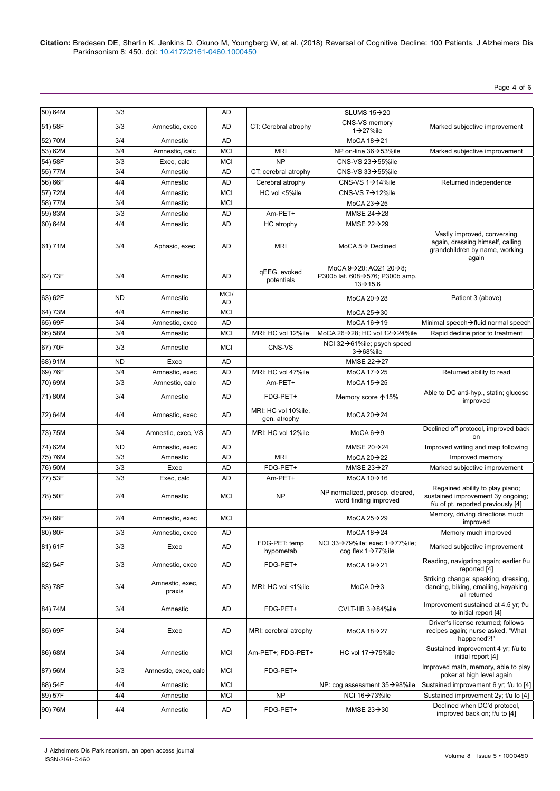**Citation:** Bredesen DE, Sharlin K, Jenkins D, Okuno M, Youngberg W, et al. (2018) Reversal of Cognitive Decline: 100 Patients. J Alzheimers Dis Parkinsonism 8: 450. doi: 10.4172/2161-0460.1000450

Page 4 of 6

| 50) 64M | 3/3       |                           | AD                |                                     | SLUMS $15 \rightarrow 20$                                                                                     |                                                                                                            |
|---------|-----------|---------------------------|-------------------|-------------------------------------|---------------------------------------------------------------------------------------------------------------|------------------------------------------------------------------------------------------------------------|
| 51) 58F | 3/3       | Amnestic, exec            | AD                | CT: Cerebral atrophy                | CNS-VS memory<br>$1\rightarrow 27\%$ ile                                                                      | Marked subjective improvement                                                                              |
| 52) 70M | 3/4       | Amnestic                  | <b>AD</b>         |                                     | MoCA 18->21                                                                                                   |                                                                                                            |
| 53) 62M | 3/4       | Amnestic, calc            | <b>MCI</b>        | <b>MRI</b>                          | NP on-line 36→53%ile                                                                                          | Marked subjective improvement                                                                              |
| 54) 58F | 3/3       | Exec, calc                | <b>MCI</b>        | <b>NP</b>                           | CNS-VS $23 \rightarrow 55\%$ ile                                                                              |                                                                                                            |
| 55) 77M | 3/4       | Amnestic                  | AD                | CT: cerebral atrophy                | CNS-VS $33\rightarrow 55\%$ ile                                                                               |                                                                                                            |
| 56) 66F | 4/4       | Amnestic                  | AD                | Cerebral atrophy                    | CNS-VS $1\rightarrow 14\%$ ile                                                                                | Returned independence                                                                                      |
| 57) 72M | 4/4       | Amnestic                  | <b>MCI</b>        | HC vol <5%ile                       | CNS-VS $7\rightarrow$ 12%ile                                                                                  |                                                                                                            |
| 58) 77M | 3/4       | Amnestic                  | <b>MCI</b>        |                                     | MoCA $23 \rightarrow 25$                                                                                      |                                                                                                            |
| 59) 83M | 3/3       | Amnestic                  | AD                | Am-PET+                             | MMSE $24 \rightarrow 28$                                                                                      |                                                                                                            |
| 60) 64M | 4/4       | Amnestic                  | AD                | HC atrophy                          | MMSE $22 \rightarrow 29$                                                                                      |                                                                                                            |
| 61) 71M | 3/4       | Aphasic, exec             | AD                | <b>MRI</b>                          | MoCA $5\rightarrow$ Declined                                                                                  | Vastly improved, conversing<br>again, dressing himself, calling<br>grandchildren by name, working<br>again |
| 62) 73F | 3/4       | Amnestic                  | AD                | qEEG, evoked<br>potentials          | MoCA $9\rightarrow 20$ ; AQ21 20 $\rightarrow 8$ ;<br>P300b lat. 608→576; P300b amp.<br>$13 \rightarrow 15.6$ |                                                                                                            |
| 63) 62F | <b>ND</b> | Amnestic                  | MCI/<br><b>AD</b> |                                     | MoCA $20 \rightarrow 28$                                                                                      | Patient 3 (above)                                                                                          |
| 64) 73M | 4/4       | Amnestic                  | <b>MCI</b>        |                                     | MoCA $25 \rightarrow 30$                                                                                      |                                                                                                            |
| 65) 69F | 3/4       | Amnestic, exec            | AD                |                                     | MoCA $16 \rightarrow 19$                                                                                      | Minimal speech→fluid normal speech                                                                         |
| 66) 58M | 3/4       | Amnestic                  | <b>MCI</b>        | MRI; HC vol 12%ile                  | MoCA 26→28; HC vol 12→24%ile                                                                                  | Rapid decline prior to treatment                                                                           |
| 67) 70F | 3/3       | Amnestic                  | <b>MCI</b>        | CNS-VS                              | NCI 32→61%ile; psych speed<br>$3\rightarrow 68\%$ ile                                                         |                                                                                                            |
| 68) 91M | <b>ND</b> | Exec                      | AD                |                                     | MMSE $22 \rightarrow 27$                                                                                      |                                                                                                            |
| 69) 76F | 3/4       | Amnestic, exec            | AD                | MRI; HC vol 47%ile                  | MoCA $17 \rightarrow 25$                                                                                      | Returned ability to read                                                                                   |
| 70) 69M | 3/3       | Amnestic, calc            | <b>AD</b>         | Am-PET+                             | MoCA $15 \rightarrow 25$                                                                                      |                                                                                                            |
| 71) 80M | 3/4       | Amnestic                  | AD                | FDG-PET+                            | Memory score ↑15%                                                                                             | Able to DC anti-hyp., statin; glucose<br>improved                                                          |
| 72) 64M | 4/4       | Amnestic, exec            | AD                | MRI: HC vol 10%ile,<br>gen. atrophy | MoCA $20 \rightarrow 24$                                                                                      |                                                                                                            |
| 73) 75M | 3/4       | Amnestic, exec, VS        | AD                | MRI: HC vol 12%ile                  | MoCA $6 \rightarrow 9$                                                                                        | Declined off protocol, improved back<br>on                                                                 |
| 74) 62M | <b>ND</b> | Amnestic, exec            | AD                |                                     | MMSE $20 \rightarrow 24$                                                                                      | Improved writing and map following                                                                         |
| 75) 76M | 3/3       | Amnestic                  | <b>AD</b>         | <b>MRI</b>                          | MoCA $20 \rightarrow 22$                                                                                      | Improved memory                                                                                            |
| 76) 50M | 3/3       | Exec                      | <b>AD</b>         | FDG-PET+                            | MMSE $23 \rightarrow 27$                                                                                      | Marked subjective improvement                                                                              |
| 77) 53F | 3/3       | Exec, calc                | <b>AD</b>         | Am-PET+                             | MoCA $10 \rightarrow 16$                                                                                      |                                                                                                            |
| 78) 50F | 2/4       | Amnestic                  | <b>MCI</b>        | <b>NP</b>                           | NP normalized, prosop. cleared,<br>word finding improved                                                      | Regained ability to play piano;<br>sustained improvement 3y ongoing;<br>f/u of pt. reported previously [4] |
| 79) 68F | 2/4       | Amnestic, exec            | MCI               |                                     | MoCA $25 \rightarrow 29$                                                                                      | Memory, driving directions much<br>improved                                                                |
| 80) 80F | 3/3       | Amnestic, exec            | AD                |                                     | MoCA 18->24                                                                                                   | Memory much improved                                                                                       |
| 81) 61F | 3/3       | Exec                      | AD                | FDG-PET: temp<br>hypometab          | NCI 33→79%ile; exec 1→77%ile;<br>cog flex $1\rightarrow$ 77%ile                                               | Marked subjective improvement                                                                              |
| 82) 54F | 3/3       | Amnestic, exec            | AD                | FDG-PET+                            | MoCA 19->21                                                                                                   | Reading, navigating again; earlier f/u<br>reported [4]                                                     |
| 83) 78F | 3/4       | Amnestic, exec,<br>praxis | AD                | MRI: HC vol <1%ile                  | MoCA $0 \rightarrow 3$                                                                                        | Striking change: speaking, dressing,<br>dancing, biking, emailing, kayaking<br>all returned                |
| 84) 74M | 3/4       | Amnestic                  | AD                | FDG-PET+                            | CVLT-IIB $3\rightarrow 84\%$ ile                                                                              | Improvement sustained at 4.5 yr; f/u<br>to initial report [4]                                              |
| 85) 69F | 3/4       | Exec                      | AD                | MRI: cerebral atrophy               | MoCA $18 \rightarrow 27$                                                                                      | Driver's license returned; follows<br>recipes again; nurse asked, "What<br>happened?!"                     |
| 86) 68M | 3/4       | Amnestic                  | MCI               | Am-PET+; FDG-PET+                   | HC vol 17→75%ile                                                                                              | Sustained improvement 4 yr; f/u to<br>initial report [4]                                                   |
| 87) 56M | 3/3       | Amnestic, exec, calc      | MCI               | FDG-PET+                            |                                                                                                               | Improved math, memory, able to play<br>poker at high level again                                           |
| 88) 54F | 4/4       | Amnestic                  | MCI               |                                     | NP: cog assessment $35\rightarrow98\%$ ile                                                                    | Sustained improvement 6 yr; f/u to [4]                                                                     |
| 89) 57F | 4/4       | Amnestic                  | MCI               | <b>NP</b>                           | NCI 16 $\rightarrow$ 73%ile                                                                                   | Sustained improvement 2y; f/u to [4]                                                                       |
| 90) 76M | 4/4       | Amnestic                  | AD                | FDG-PET+                            | MMSE $23 \rightarrow 30$                                                                                      | Declined when DC'd protocol,<br>improved back on; f/u to [4]                                               |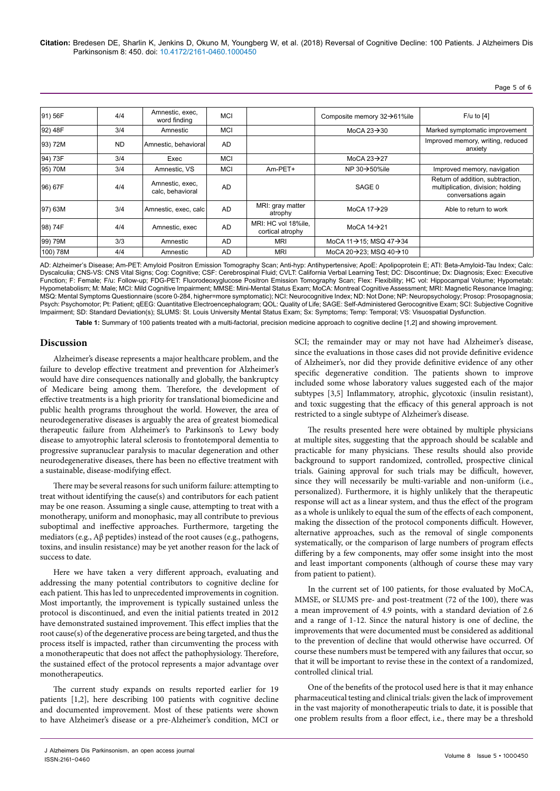| 91) 56F          | 4/4       | Amnestic, exec,<br>word finding     | MCI       |                                         | Composite memory $32\rightarrow 61\%$ ile         | $F/u$ to $[4]$                                                                               |
|------------------|-----------|-------------------------------------|-----------|-----------------------------------------|---------------------------------------------------|----------------------------------------------------------------------------------------------|
| 92) 48F          | 3/4       | Amnestic                            | MCI       |                                         | MoCA $23 \rightarrow 30$                          | Marked symptomatic improvement                                                               |
| 93) 72M          | <b>ND</b> | Amnestic, behavioral                | <b>AD</b> |                                         |                                                   | Improved memory, writing, reduced<br>anxiety                                                 |
| 94) 73F          | 3/4       | Exec                                | MCI       |                                         | MoCA $23 \rightarrow 27$                          |                                                                                              |
| 95) 70M          | 3/4       | Amnestic, VS                        | MCI       | Am-PET+                                 | NP $30 \rightarrow 50\%$ ile                      | Improved memory, navigation                                                                  |
| 96) 67F          | 4/4       | Amnestic, exec,<br>calc, behavioral | <b>AD</b> |                                         | SAGE 0                                            | Return of addition, subtraction,<br>multiplication, division; holding<br>conversations again |
| $ 97\rangle 63M$ | 3/4       | Amnestic, exec, calc                | AD.       | MRI: gray matter<br>atrophy             | MoCA $17\rightarrow 29$                           | Able to return to work                                                                       |
| 98) 74F          | 4/4       | Amnestic, exec                      | <b>AD</b> | MRI: HC vol 18%ile.<br>cortical atrophy | MoCA $14 \rightarrow 21$                          |                                                                                              |
| 99) 79M          | 3/3       | Amnestic                            | AD        | <b>MRI</b>                              | MoCA 11→15; MSQ 47→34                             |                                                                                              |
| 100) 78M         | 4/4       | Amnestic                            | AD        | <b>MRI</b>                              | MoCA 20 $\rightarrow$ 23; MSQ 40 $\rightarrow$ 10 |                                                                                              |

AD: Alzheimer's Disease; Am-PET: Amyloid Positron Emission Tomography Scan; Anti-hyp: Antihypertensive; ApoE: Apolipoprotein E; ATI: Beta-Amyloid-Tau Index; Calc: Dyscalculia; CNS-VS: CNS Vital Signs; Cog: Cognitive; CSF: Cerebrospinal Fluid; CVLT: California Verbal Learning Test; DC: Discontinue; Dx: Diagnosis; Exec: Executive Function; F: Female; F/u: Follow-up; FDG-PET: Fluorodeoxyglucose Positron Emission Tomography Scan; Flex: Flexibility; HC vol: Hippocampal Volume; Hypometab: Hypometabolism; M: Male; MCI: Mild Cognitive Impairment; MMSE: Mini-Mental Status Exam; MoCA: Montreal Cognitive Assessment; MRI: Magnetic Resonance Imaging; MSQ: Mental Symptoms Questionnaire (score 0-284, higher=more symptomatic); NCI: Neurocognitive Index; ND: Not Done; NP: Neuropsychology; Prosop: Prosopagnosia; Psych: Psychomotor; Pt: Patient; qEEG: Quantitative Electroencephalogram; QOL: Quality of Life; SAGE: Self-Administered Gerocognitive Exam; SCI: Subjective Cognitive Impairment; SD: Standard Deviation(s); SLUMS: St. Louis University Mental Status Exam; Sx: Symptoms; Temp: Temporal; VS: Visuospatial Dysfunction.

**Table 1:** Summary of 100 patients treated with a multi-factorial, precision medicine approach to cognitive decline [1,2] and showing improvement.

## **Discussion**

Alzheimer's disease represents a major healthcare problem, and the failure to develop effective treatment and prevention for Alzheimer's would have dire consequences nationally and globally, the bankruptcy of Medicare being among them. Therefore, the development of effective treatments is a high priority for translational biomedicine and public health programs throughout the world. However, the area of neurodegenerative diseases is arguably the area of greatest biomedical therapeutic failure from Alzheimer's to Parkinson's to Lewy body disease to amyotrophic lateral sclerosis to frontotemporal dementia to progressive supranuclear paralysis to macular degeneration and other neurodegenerative diseases, there has been no effective treatment with a sustainable, disease-modifying effect.

There may be several reasons for such uniform failure: attempting to treat without identifying the cause(s) and contributors for each patient may be one reason. Assuming a single cause, attempting to treat with a monotherapy, uniform and monophasic, may all contribute to previous suboptimal and ineffective approaches. Furthermore, targeting the mediators (e.g., Aβ peptides) instead of the root causes (e.g., pathogens, toxins, and insulin resistance) may be yet another reason for the lack of success to date.

Here we have taken a very different approach, evaluating and addressing the many potential contributors to cognitive decline for each patient. This has led to unprecedented improvements in cognition. Most importantly, the improvement is typically sustained unless the protocol is discontinued, and even the initial patients treated in 2012 have demonstrated sustained improvement. This effect implies that the root cause(s) of the degenerative process are being targeted, and thus the process itself is impacted, rather than circumventing the process with a monotherapeutic that does not affect the pathophysiology. Therefore, the sustained effect of the protocol represents a major advantage over monotherapeutics.

The current study expands on results reported earlier for 19 patients [1,2], here describing 100 patients with cognitive decline and documented improvement. Most of these patients were shown to have Alzheimer's disease or a pre-Alzheimer's condition, MCI or

SCI; the remainder may or may not have had Alzheimer's disease, since the evaluations in those cases did not provide definitive evidence of Alzheimer's, nor did they provide definitive evidence of any other specific degenerative condition. The patients shown to improve included some whose laboratory values suggested each of the major subtypes [3,5] Inflammatory, atrophic, glycotoxic (insulin resistant), and toxic suggesting that the efficacy of this general approach is not restricted to a single subtype of Alzheimer's disease.

The results presented here were obtained by multiple physicians at multiple sites, suggesting that the approach should be scalable and practicable for many physicians. These results should also provide background to support randomized, controlled, prospective clinical trials. Gaining approval for such trials may be difficult, however, since they will necessarily be multi-variable and non-uniform (i.e., personalized). Furthermore, it is highly unlikely that the therapeutic response will act as a linear system, and thus the effect of the program as a whole is unlikely to equal the sum of the effects of each component, making the dissection of the protocol components difficult. However, alternative approaches, such as the removal of single components systematically, or the comparison of large numbers of program effects differing by a few components, may offer some insight into the most and least important components (although of course these may vary from patient to patient).

In the current set of 100 patients, for those evaluated by MoCA, MMSE, or SLUMS pre- and post-treatment (72 of the 100), there was a mean improvement of 4.9 points, with a standard deviation of 2.6 and a range of 1-12. Since the natural history is one of decline, the improvements that were documented must be considered as additional to the prevention of decline that would otherwise have occurred. Of course these numbers must be tempered with any failures that occur, so that it will be important to revise these in the context of a randomized, controlled clinical trial.

One of the benefits of the protocol used here is that it may enhance pharmaceutical testing and clinical trials: given the lack of improvement in the vast majority of monotherapeutic trials to date, it is possible that one problem results from a floor effect, i.e., there may be a threshold

J Alzheimers Dis Parkinsonism, an open access journal ISSN:2161-0460